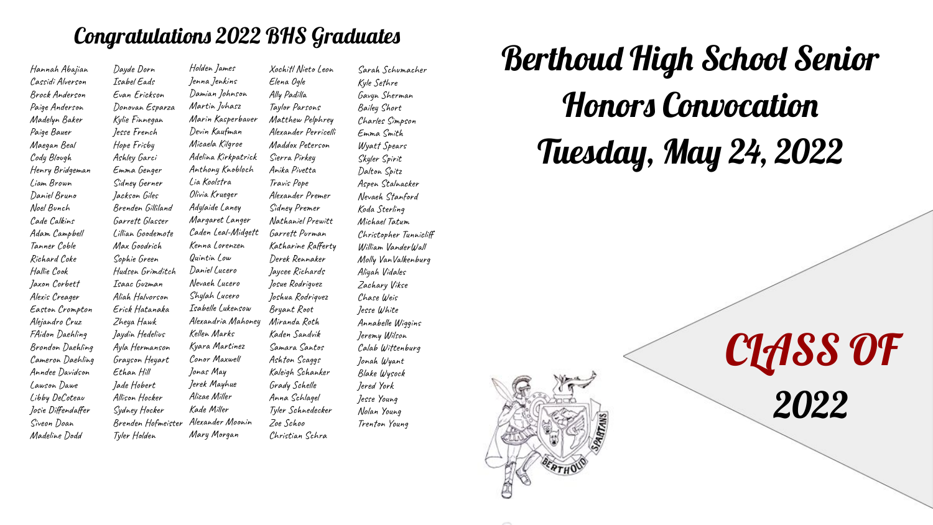# Congratulations 2022 BHS Graduates

Hannah Abajian Cassidi Alverson Brock Anderson Paige Anderson Madelyn Baker Paige Bauer Maegan Beal Cody Blough Henry Bridgeman Liam Brown Daniel Bruno Noel Bunch Cade Calkins Adam Campbell Tanner Coble Richard Coke Hallie Cook Jaxon Corbett Alexis Creager Easton Crompton Alejandro Cruz FAidon Daehling Brondon Daehling Cameron Daehling Anndee Davidson Lawson Dawe Libby DeCoteau Josie Diffendaffer Siveon Doan Madeline Dodd

Holden James Jenna Jenkins Damian Johnson Martin Juhasz Marin Kasperbauer Devin Kaufman Micaela Kilgroe Adelina Kirkpatrick Anthony Knobloch Lia Koolstra Olivia Krueger Adylaide Laney Margaret Langer Caden Leal-Midgett Kenna Lorenzen Quintin Low Daniel Lucero Nevaeh Lucero Shylah Lucero Isabelle Lukensow Alexandria Mahoney Kellen Marks Kyara Martinez Conor Maxwell Jonas May Jerek Mayhue Alizae Miller Kade Miller Brenden Hofmeister Alexander Moonin Mary Morgan Dayde Dorn Isabel Eads Evan Erickson Donovan Esparza Kylie Finnegan Jesse French Hope Frisby Ashley Garci Emma Genger Sidney Gerner Jackson Giles Brenden Gilliland Garrett Glasser Lillian Goodemote Max Goodrich Sophie Green Hudsen Grimditch Isaac Guzman Aliah Halvorson Erick Hatanaka Zheya Hawk Jaydin Hedelius Ayla Hermanson Grayson Heyart Ethan Hill Jade Hobert Allison Hocker Sydney Hocker Tyler Holden Elena Ogle Ally Padilla Taylor Parsons Maddox Peterson Sierra Pirkey Anika Pivetta Travis Pope Alexander Premer Sidney Premer Garrett Purman Derek Rennaker Jaycee Richards Josue Rodriguez Joshua Rodriquez Bryant Root Miranda Roth Kaden Sandvik Samara Santos Ashton Scaggs Kaleigh Schanker Grady Schelle Anna Schlagel Zoe Schoo Christian Schra

Xochitl Nieto Leon Matthew Pelphrey Alexander Perricelli Nathaniel Prewitt Katharine Rafferty Tyler Schnedecker Sarah Schumacher Kyle Sethre Gavyn Sherman Bailey Short Charles Simpson Emma Smith Wyatt Spears Skyler Spirit Dalton Spitz Aspen Stalnacker Nevaeh Stanford Koda Sterling Michael Tatum Christopher Tunnicliff William VanderWall Molly VanValkenburg Aliyah Vidales Zachary Vikse Chase Weis Jesse White Annabelle Wiggins Jeremy Wilson Calab Wittenburg Jonah Wyant Blake Wysock Jered York Jesse Young Nolan Young Trenton Young

Berthoud High School Senior Honors Convocation Tuesday, May 24, 2022



CLASS OF 2022